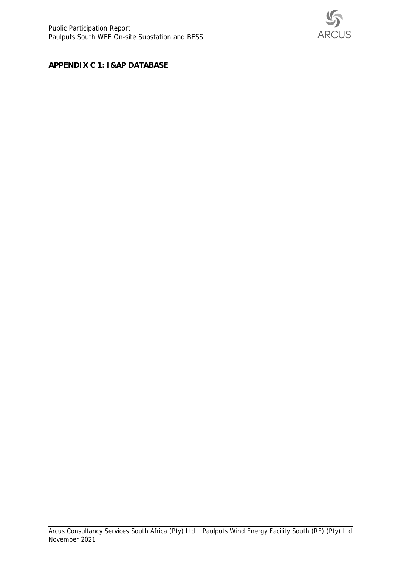

**APPENDIX C 1: I&AP DATABASE**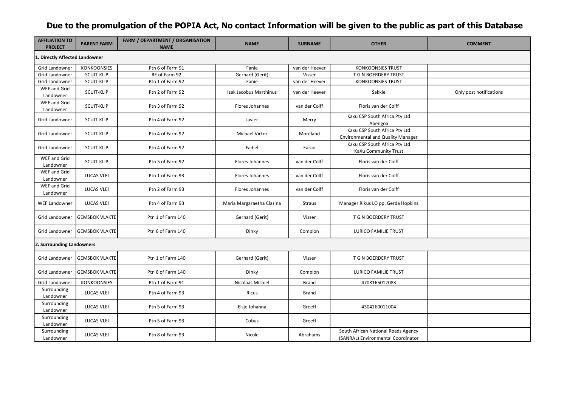## **Due to the promulgation of the POPIA Act, No contact Information will be given to the public as part of this Database**

| <b>AFFILIATION TO</b><br><b>PROJECT</b> | <b>PARENT FARM</b>    | <b>FARM / DEPARTMENT / ORGANISATION</b><br><b>NAME</b> | <b>NAME</b>               | <b>SURNAME</b> | <b>OTHER</b>                                                              | <b>COMMENT</b>          |
|-----------------------------------------|-----------------------|--------------------------------------------------------|---------------------------|----------------|---------------------------------------------------------------------------|-------------------------|
| 1. Directly Affected Landowner          |                       |                                                        |                           |                |                                                                           |                         |
| Grid Landowner                          | <b>KONKOONSIES</b>    | Ptn 6 of Farm 91                                       | Fanie                     | van der Heever | <b>KONKOONSIES TRUST</b>                                                  |                         |
| <b>Grid Landowner</b>                   | SCUIT-KLIP            | RE of Farm 92                                          | Gerhard (Gerit)           | Visser         | T G N BOERDERY TRUST                                                      |                         |
| Grid Landowner                          | SCUIT-KLIP            | Ptn 1 of Farm 92                                       | Fanie                     | van der Heever | <b>KONKOONSIES TRUST</b>                                                  |                         |
| WEF and Grid<br>Landowner               | SCUIT-KLIP            | Ptn 2 of Farm 92                                       | Izak Jacobus Marthinus    | van der Heever | Sakkie                                                                    | Only post notifications |
| WEF and Grid<br>Landowner               | SCUIT-KLIP            | Ptn 3 of Farm 92                                       | Flores Johannes           | van der Colff  | Floris van der Colff                                                      |                         |
| Grid Landowner                          | SCUIT-KLIP            | Ptn 4 of Farm 92                                       | Javier                    | Merry          | Kaxu CSP South Africa Pty Ltd<br>Abengoa                                  |                         |
| <b>Grid Landowner</b>                   | <b>SCUIT-KLIP</b>     | Ptn 4 of Farm 92                                       | <b>Michael Victor</b>     | Moreland       | Kaxu CSP South Africa Pty Ltd<br><b>Environmental and Quality Manager</b> |                         |
| Grid Landowner                          | SCUIT-KLIP            | Ptn 4 of Farm 92                                       | Fadiel                    | Farao          | Kaxu CSP South Africa Pty Ltd<br>KaXu Community Trust                     |                         |
| WEF and Grid<br>Landowner               | SCUIT-KLIP            | Ptn 5 of Farm 92                                       | Flores Johannes           | van der Colff  | Floris van der Colff                                                      |                         |
| WEF and Grid<br>Landowner               | <b>LUCAS VLEI</b>     | Ptn 1 of Farm 93                                       | Flores Johannes           | van der Colff  | Floris van der Colff                                                      |                         |
| WEF and Grid<br>Landowner               | <b>LUCAS VLEI</b>     | Ptn 2 of Farm 93                                       | Flores Johannes           | van der Colff  | Floris van der Colff                                                      |                         |
| <b>WEF Landowner</b>                    | <b>LUCAS VLEI</b>     | Ptn 4 of Farm 93                                       | Maria Margaraetha Clasina | Straus         | Manager Rikus LO pp. Gerda Hopkins                                        |                         |
| Grid Landowner                          | <b>GEMSBOK VLAKTE</b> | Ptn 1 of Farm 140                                      | Gerhard (Gerit)           | Visser         | T G N BOERDERY TRUST                                                      |                         |
| Grid Landowner                          | <b>GEMSBOK VLAKTE</b> | Ptn 6 of Farm 140                                      | Dinky                     | Compion        | <b>LURICO FAMILIE TRUST</b>                                               |                         |
| 2. Surrounding Landowners               |                       |                                                        |                           |                |                                                                           |                         |
| Grid Landowner                          | <b>GEMSBOK VLAKTE</b> | Ptn 1 of Farm 140                                      | Gerhard (Gerit)           | Visser         | T G N BOERDERY TRUST                                                      |                         |
| Grid Landowner                          | <b>GEMSBOK VLAKTE</b> | Ptn 6 of Farm 140                                      | Dinky                     | Compion        | <b>LURICO FAMILIE TRUST</b>                                               |                         |
| Grid Landowner                          | KONKOONSIES           | Ptn 1 of Farm 91                                       | Nicolaas Michiel          | <b>Brand</b>   | 4708165012083                                                             |                         |
| Surrounding<br>Landowner                | <b>LUCAS VLEI</b>     | Ptn 4 of Farm 93                                       | Ricus                     | Brand          |                                                                           |                         |
| Surrounding<br>Landowner                | LUCAS VLEI            | Ptn 5 of Farm 93                                       | Elsje Johanna             | Greeff         | 4304260011004                                                             |                         |
| Surrounding<br>Landowner                | <b>LUCAS VLEI</b>     | Ptn 5 of Farm 93                                       | Cobus                     | Greeff         |                                                                           |                         |
| Surrounding<br>Landowner                | LUCAS VLEI            | Ptn 8 of Farm 93                                       | Nicole                    | Abrahams       | South African National Roads Agency<br>(SANRAL) Environmental Coordinator |                         |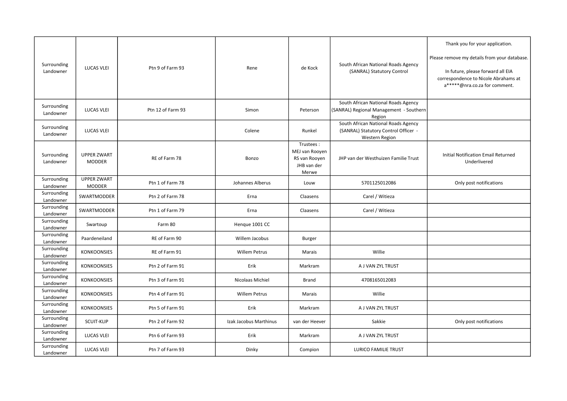|                          |                                     |                   |                        |                                                                      |                                                                                               | Thank you for your application.                                                                                                                            |
|--------------------------|-------------------------------------|-------------------|------------------------|----------------------------------------------------------------------|-----------------------------------------------------------------------------------------------|------------------------------------------------------------------------------------------------------------------------------------------------------------|
| Surrounding<br>Landowner | <b>LUCAS VLEI</b>                   | Ptn 9 of Farm 93  | Rene                   | de Kock                                                              | South African National Roads Agency<br>(SANRAL) Statutory Control                             | Please remove my details from your database.<br>In future, please forward all EIA<br>correspondence to Nicole Abrahams at<br>a*****@nra.co.za for comment. |
| Surrounding<br>Landowner | <b>LUCAS VLEI</b>                   | Ptn 12 of Farm 93 | Simon                  | Peterson                                                             | South African National Roads Agency<br>(SANRAL) Regional Management - Southern<br>Region      |                                                                                                                                                            |
| Surrounding<br>Landowner | <b>LUCAS VLEI</b>                   |                   | Colene                 | Runkel                                                               | South African National Roads Agency<br>(SANRAL) Statutory Control Officer -<br>Western Region |                                                                                                                                                            |
| Surrounding<br>Landowner | <b>UPPER ZWART</b><br><b>MODDER</b> | RE of Farm 78     | Bonzo                  | Trustees:<br>MEJ van Rooyen<br>RS van Rooyen<br>JHB van der<br>Merwe | JHP van der Westhuizen Familie Trust                                                          | Initial Notification Email Returned<br>Underlivered                                                                                                        |
| Surrounding<br>Landowner | <b>UPPER ZWART</b><br>MODDER        | Ptn 1 of Farm 78  | Johannes Alberus       | Louw                                                                 | 5701125012086                                                                                 | Only post notifications                                                                                                                                    |
| Surrounding<br>Landowner | SWARTMODDER                         | Ptn 2 of Farm 78  | Erna                   | Claasens                                                             | Carel / Witieza                                                                               |                                                                                                                                                            |
| Surrounding<br>Landowner | SWARTMODDER                         | Ptn 1 of Farm 79  | Erna                   | Claasens                                                             | Carel / Witieza                                                                               |                                                                                                                                                            |
| Surrounding<br>Landowner | Swartoup                            | Farm 80           | Henque 1001 CC         |                                                                      |                                                                                               |                                                                                                                                                            |
| Surrounding<br>Landowner | Paardeneiland                       | RE of Farm 90     | Willem Jacobus         | <b>Burger</b>                                                        |                                                                                               |                                                                                                                                                            |
| Surrounding<br>Landowner | <b>KONKOONSIES</b>                  | RE of Farm 91     | Willem Petrus          | Marais                                                               | Willie                                                                                        |                                                                                                                                                            |
| Surrounding<br>Landowner | <b>KONKOONSIES</b>                  | Ptn 2 of Farm 91  | Erik                   | Markram                                                              | A J VAN ZYL TRUST                                                                             |                                                                                                                                                            |
| Surrounding<br>Landowner | <b>KONKOONSIES</b>                  | Ptn 3 of Farm 91  | Nicolaas Michiel       | <b>Brand</b>                                                         | 4708165012083                                                                                 |                                                                                                                                                            |
| Surrounding<br>Landowner | <b>KONKOONSIES</b>                  | Ptn 4 of Farm 91  | Willem Petrus          | Marais                                                               | Willie                                                                                        |                                                                                                                                                            |
| Surrounding<br>Landowner | <b>KONKOONSIES</b>                  | Ptn 5 of Farm 91  | Erik                   | Markram                                                              | A J VAN ZYL TRUST                                                                             |                                                                                                                                                            |
| Surrounding<br>Landowner | SCUIT-KLIP                          | Ptn 2 of Farm 92  | Izak Jacobus Marthinus | van der Heever                                                       | Sakkie                                                                                        | Only post notifications                                                                                                                                    |
| Surrounding<br>Landowner | <b>LUCAS VLEI</b>                   | Ptn 6 of Farm 93  | Erik                   | Markram                                                              | A J VAN ZYL TRUST                                                                             |                                                                                                                                                            |
| Surrounding<br>Landowner | <b>LUCAS VLEI</b>                   | Ptn 7 of Farm 93  | Dinky                  | Compion                                                              | <b>LURICO FAMILIE TRUST</b>                                                                   |                                                                                                                                                            |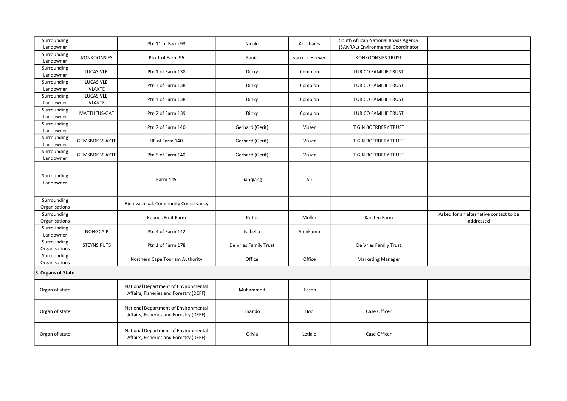| Surrounding<br>Landowner     |                                    | Ptn 11 of Farm 93                                                              | Nicole                | Abrahams       | South African National Roads Agency<br>(SANRAL) Environmental Coordinator |                                                     |
|------------------------------|------------------------------------|--------------------------------------------------------------------------------|-----------------------|----------------|---------------------------------------------------------------------------|-----------------------------------------------------|
| Surrounding<br>Landowner     | <b>KONKOONSIES</b>                 | Ptn 1 of Farm 96                                                               | Fanie                 | van der Heever | <b>KONKOONSIES TRUST</b>                                                  |                                                     |
| Surrounding<br>Landowner     | <b>LUCAS VLEI</b>                  | Ptn 1 of Farm 138                                                              | Dinky                 | Compion        | LURICO FAMILIE TRUST                                                      |                                                     |
| Surrounding<br>Landowner     | <b>LUCAS VLEI</b><br>VLAKTE        | Ptn 3 of Farm 138                                                              | Dinky                 | Compion        | LURICO FAMILIE TRUST                                                      |                                                     |
| Surrounding<br>Landowner     | <b>LUCAS VLEI</b><br><b>VLAKTE</b> | Ptn 4 of Farm 138                                                              | Dinky                 | Compion        | <b>LURICO FAMILIE TRUST</b>                                               |                                                     |
| Surrounding<br>Landowner     | MATTHEUS-GAT                       | Ptn 2 of Farm 139                                                              | Dinky                 | Compion        | <b>LURICO FAMILIE TRUST</b>                                               |                                                     |
| Surrounding<br>Landowner     |                                    | Ptn 7 of Farm 140                                                              | Gerhard (Gerit)       | Visser         | T G N BOERDERY TRUST                                                      |                                                     |
| Surrounding<br>Landowner     | <b>GEMSBOK VLAKTE</b>              | RE of Farm 140                                                                 | Gerhard (Gerit)       | Visser         | T G N BOERDERY TRUST                                                      |                                                     |
| Surrounding<br>Landowner     | <b>GEMSBOK VLAKTE</b>              | Ptn 5 of Farm 140                                                              | Gerhard (Gerit)       | Visser         | T G N BOERDERY TRUST                                                      |                                                     |
| Surrounding<br>Landowner     |                                    | Farm 445                                                                       | Jianqiang             | Su             |                                                                           |                                                     |
| Surrounding<br>Organisations |                                    | Riemvasmaak Community Conservancy                                              |                       |                |                                                                           |                                                     |
| Surrounding<br>Organisations |                                    | Keboes Fruit Farm                                                              | Petro                 | Moller         | Karsten Farm                                                              | Asked for an alternative contact to be<br>addressed |
| Surrounding<br>Landowner     | <b>NONGCAIP</b>                    | Ptn 4 of Farm 142                                                              | Isabella              | Stenkamp       |                                                                           |                                                     |
| Surrounding<br>Organisations | <b>STEYNS PUTS</b>                 | Ptn 1 of Farm 178                                                              | De Vries Family Trust |                | De Vries Family Trust                                                     |                                                     |
| Surrounding<br>Organisations |                                    | Northern Cape Tourism Authority                                                | Office                | Office         | <b>Marketing Manager</b>                                                  |                                                     |
| 3. Organs of State           |                                    |                                                                                |                       |                |                                                                           |                                                     |
| Organ of state               |                                    | National Department of Environmental<br>Affairs, Fisheries and Forestry (DEFF) | Muhammod              | Essop          |                                                                           |                                                     |
| Organ of state               |                                    | National Department of Environmental<br>Affairs, Fisheries and Forestry (DEFF) | Thando                | Booi           | Case Officer                                                              |                                                     |
| Organ of state               |                                    | National Department of Environmental<br>Affairs, Fisheries and Forestry (DEFF) | Olivia                | Letlalo        | Case Officer                                                              |                                                     |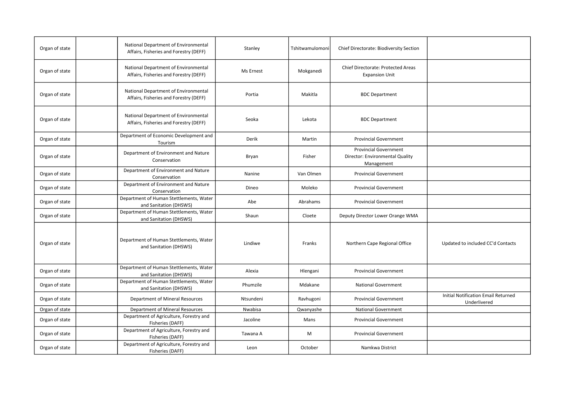| Organ of state | National Department of Environmental<br>Affairs, Fisheries and Forestry (DEFF) | Stanley   | Tshitwamulomoni | Chief Directorate: Biodiversity Section                                       |                                                     |
|----------------|--------------------------------------------------------------------------------|-----------|-----------------|-------------------------------------------------------------------------------|-----------------------------------------------------|
| Organ of state | National Department of Environmental<br>Affairs, Fisheries and Forestry (DEFF) | Ms Ernest | Mokganedi       | Chief Directorate: Protected Areas<br><b>Expansion Unit</b>                   |                                                     |
| Organ of state | National Department of Environmental<br>Affairs, Fisheries and Forestry (DEFF) | Portia    | Makitla         | <b>BDC Department</b>                                                         |                                                     |
| Organ of state | National Department of Environmental<br>Affairs, Fisheries and Forestry (DEFF) | Seoka     | Lekota          | <b>BDC Department</b>                                                         |                                                     |
| Organ of state | Department of Economic Development and<br>Tourism                              | Derik     | Martin          | <b>Provincial Government</b>                                                  |                                                     |
| Organ of state | Department of Environment and Nature<br>Conservation                           | Bryan     | Fisher          | <b>Provincial Government</b><br>Director: Environmental Quality<br>Management |                                                     |
| Organ of state | Department of Environment and Nature<br>Conservation                           | Nanine    | Van Olmen       | <b>Provincial Government</b>                                                  |                                                     |
| Organ of state | Department of Environment and Nature<br>Conservation                           | Dineo     | Moleko          | <b>Provincial Government</b>                                                  |                                                     |
| Organ of state | Department of Human Stettlements, Water<br>and Sanitation (DHSWS)              | Abe       | Abrahams        | <b>Provincial Government</b>                                                  |                                                     |
| Organ of state | Department of Human Stettlements, Water<br>and Sanitation (DHSWS)              | Shaun     | Cloete          | Deputy Director Lower Orange WMA                                              |                                                     |
| Organ of state | Department of Human Stettlements, Water<br>and Sanitation (DHSWS)              | Lindiwe   | Franks          | Northern Cape Regional Office                                                 | Updated to included CC'd Contacts                   |
| Organ of state | Department of Human Stettlements, Water<br>and Sanitation (DHSWS)              | Alexia    | Hlengani        | <b>Provincial Government</b>                                                  |                                                     |
| Organ of state | Department of Human Stettlements, Water<br>and Sanitation (DHSWS)              | Phumzile  | Mdakane         | <b>National Government</b>                                                    |                                                     |
| Organ of state | Department of Mineral Resources                                                | Ntsundeni | Ravhugoni       | <b>Provincial Government</b>                                                  | Initial Notification Email Returned<br>Underlivered |
| Organ of state | Department of Mineral Resources                                                | Nwabisa   | Qwanyashe       | <b>National Government</b>                                                    |                                                     |
| Organ of state | Department of Agriculture, Forestry and<br>Fisheries (DAFF)                    | Jacoline  | Mans            | <b>Provincial Government</b>                                                  |                                                     |
| Organ of state | Department of Agriculture, Forestry and<br>Fisheries (DAFF)                    | Tawana A  | M               | <b>Provincial Government</b>                                                  |                                                     |
| Organ of state | Department of Agriculture, Forestry and<br>Fisheries (DAFF)                    | Leon      | October         | Namkwa District                                                               |                                                     |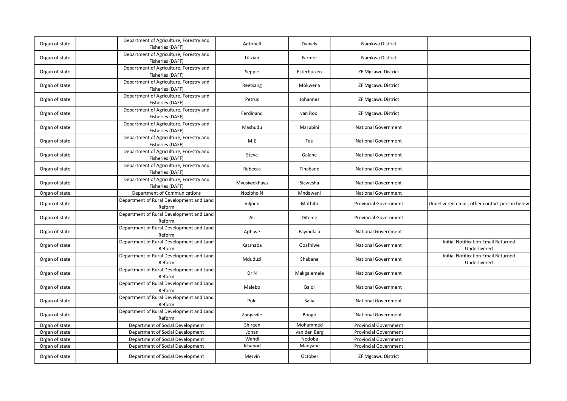| Organ of state | Department of Agriculture, Forestry and<br>Fisheries (DAFF) | Antonell     | Daniels      | Namkwa District              |                                                     |
|----------------|-------------------------------------------------------------|--------------|--------------|------------------------------|-----------------------------------------------------|
| Organ of state | Department of Agriculture, Forestry and<br>Fisheries (DAFF) | Lilizian     | Farmer       | Namkwa District              |                                                     |
| Organ of state | Department of Agriculture, Forestry and<br>Fisheries (DAFF) | Seppie       | Esterhuizen  | ZF Mgcawu District           |                                                     |
| Organ of state | Department of Agriculture, Forestry and<br>Fisheries (DAFF) | Reetsang     | Mokwena      | <b>ZF Mgcawu District</b>    |                                                     |
| Organ of state | Department of Agriculture, Forestry and<br>Fisheries (DAFF) | Petrus       | Johannes     | <b>ZF Mgcawu District</b>    |                                                     |
| Organ of state | Department of Agriculture, Forestry and<br>Fisheries (DAFF) | Ferdinand    | van Rooi     | ZF Mgcawu District           |                                                     |
| Organ of state | Department of Agriculture, Forestry and<br>Fisheries (DAFF) | Mashudu      | Marubini     | <b>National Government</b>   |                                                     |
| Organ of state | Department of Agriculture, Forestry and<br>Fisheries (DAFF) | M.E          | Tau          | <b>National Government</b>   |                                                     |
| Organ of state | Department of Agriculture, Forestry and<br>Fisheries (DAFF) | Steve        | Galane       | <b>National Government</b>   |                                                     |
| Organ of state | Department of Agriculture, Forestry and<br>Fisheries (DAFF) | Rebecca      | Tlhabane     | National Government          |                                                     |
| Organ of state | Department of Agriculture, Forestry and<br>Fisheries (DAFF) | Mvusiwekhaya | Sicwesha     | <b>National Government</b>   |                                                     |
| Organ of state | Department of Communications                                | Nozipho N    | Mndaweni     | <b>National Government</b>   |                                                     |
| Organ of state | Department of Rural Development and Land<br>Reform          | Viljoen      | Mothibi      | <b>Provincial Government</b> | Undelivered email, other contact person below       |
| Organ of state | Department of Rural Development and Land<br>Reform          | Ali          | Diteme       | <b>Provincial Government</b> |                                                     |
| Organ of state | Department of Rural Development and Land<br>Reform          | Aphiwe       | Fayindlala   | <b>National Government</b>   |                                                     |
| Organ of state | Department of Rural Development and Land<br>Reform          | Katshaba     | Goafhiwe     | <b>National Government</b>   | Initial Notification Email Returned<br>Underlivered |
| Organ of state | Department of Rural Development and Land<br>Reform          | Mduduzi      | Shabane      | <b>National Government</b>   | Initial Notification Email Returned<br>Underlivered |
| Organ of state | Department of Rural Development and Land<br>Reform          | Dr N         | Makgalemele  | <b>National Government</b>   |                                                     |
| Organ of state | Department of Rural Development and Land<br>Reform          | Malebo       | Baloi        | <b>National Government</b>   |                                                     |
| Organ of state | Department of Rural Development and Land<br>Reform          | Pule         | Salia        | <b>National Government</b>   |                                                     |
| Organ of state | Department of Rural Development and Land<br>Reform          | Zongezile    | Bongo        | <b>National Government</b>   |                                                     |
| Organ of state | Department of Social Development                            | Shireen      | Mohammed     | <b>Provincial Government</b> |                                                     |
| Organ of state | Department of Social Development                            | Johan        | van den Berg | <b>Provincial Government</b> |                                                     |
| Organ of state | Department of Social Development                            | Wandi        | Nodoba       | <b>Provincial Government</b> |                                                     |
| Organ of state | Department of Social Development                            | Ichabod      | Manyane      | <b>Provincial Government</b> |                                                     |
| Organ of state | Department of Social Development                            | Mervin       | October      | ZF Mgcawu District           |                                                     |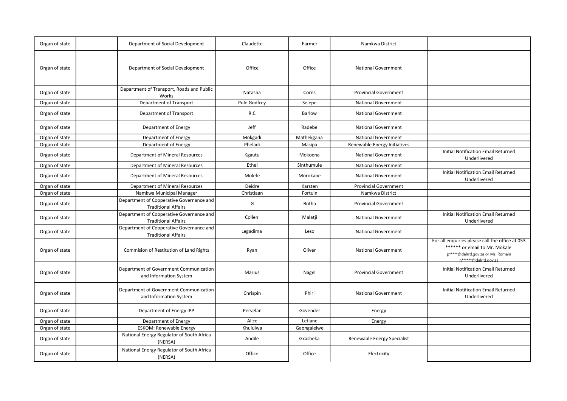| Organ of state | Department of Social Development                                       | Claudette    | Farmer      | Namkwa District              |                                                                                                                                                 |
|----------------|------------------------------------------------------------------------|--------------|-------------|------------------------------|-------------------------------------------------------------------------------------------------------------------------------------------------|
| Organ of state | Department of Social Development                                       | Office       | Office      | <b>National Government</b>   |                                                                                                                                                 |
| Organ of state | Department of Transport, Roads and Public<br>Works                     | Natasha      | Corns       | <b>Provincial Government</b> |                                                                                                                                                 |
| Organ of state | Department of Transport                                                | Pule Godfrey | Selepe      | <b>National Government</b>   |                                                                                                                                                 |
| Organ of state | Department of Transport                                                | R.C          | Barlow      | <b>National Government</b>   |                                                                                                                                                 |
| Organ of state | Department of Energy                                                   | Jeff         | Radebe      | <b>National Government</b>   |                                                                                                                                                 |
| Organ of state | Department of Energy                                                   | Mokgadi      | Mathekgana  | <b>National Government</b>   |                                                                                                                                                 |
| Organ of state | Department of Energy                                                   | Pheladi      | Masipa      | Renewable Energy Initiatives |                                                                                                                                                 |
| Organ of state | Department of Mineral Resources                                        | Kgautu       | Mokoena     | <b>National Government</b>   | Initial Notification Email Returned<br>Underlivered                                                                                             |
| Organ of state | Department of Mineral Resources                                        | Ethel        | Sinthumule  | <b>National Government</b>   |                                                                                                                                                 |
| Organ of state | Department of Mineral Resources                                        | Molefe       | Morokane    | <b>National Government</b>   | <b>Initial Notification Email Returned</b><br>Underlivered                                                                                      |
| Organ of state | Department of Mineral Resources                                        | Deidre       | Karsten     | <b>Provincial Government</b> |                                                                                                                                                 |
| Organ of state | Namkwa Municipal Manager                                               | Christiaan   | Fortuin     | Namkwa District              |                                                                                                                                                 |
| Organ of state | Department of Cooperative Governance and<br><b>Traditional Affairs</b> | G            | Botha       | <b>Provincial Government</b> |                                                                                                                                                 |
| Organ of state | Department of Cooperative Governance and<br><b>Traditional Affairs</b> | Collen       | Malatji     | <b>National Government</b>   | <b>Initial Notification Email Returned</b><br>Underlivered                                                                                      |
| Organ of state | Department of Cooperative Governance and<br><b>Traditional Affairs</b> | Legadima     | Leso        | <b>National Government</b>   |                                                                                                                                                 |
| Organ of state | Commision of Restitution of Land Rights                                | Ryan         | Oliver      | <b>National Government</b>   | For all enquiries please call the office at 053<br>****** or email to Mr. Mokale<br>p*****@dalrrd.gov.za or Ms. Romain<br>n******@dalrrd.gov.za |
| Organ of state | Department of Government Communication<br>and Information System       | Marius       | Nagel       | <b>Provincial Government</b> | <b>Initial Notification Email Returned</b><br>Underlivered                                                                                      |
| Organ of state | Department of Government Communication<br>and Information System       | Chrispin     | Phiri       | <b>National Government</b>   | <b>Initial Notification Email Returned</b><br>Underlivered                                                                                      |
| Organ of state | Department of Energy IPP                                               | Pervelan     | Govender    | Energy                       |                                                                                                                                                 |
| Organ of state | Department of Energy                                                   | Alice        | Letiane     | Energy                       |                                                                                                                                                 |
| Organ of state | <b>ESKOM: Renewable Energy</b>                                         | Khululwa     | Gaongalelwe |                              |                                                                                                                                                 |
| Organ of state | National Energy Regulator of South Africa<br>(NERSA)                   | Andile       | Gxasheka    | Renewable Energy Specialist  |                                                                                                                                                 |
| Organ of state | National Energy Regulator of South Africa<br>(NERSA)                   | Office       | Office      | Electricity                  |                                                                                                                                                 |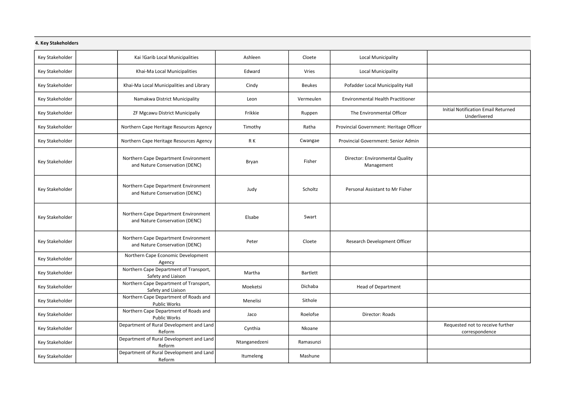| 4. Key Stakeholders |  |  |
|---------------------|--|--|
|                     |  |  |
|                     |  |  |
|                     |  |  |
|                     |  |  |

| <b>T. KCY JEANCHUNGEJ</b> |                                                                        |               |               |                                               |                                                     |
|---------------------------|------------------------------------------------------------------------|---------------|---------------|-----------------------------------------------|-----------------------------------------------------|
| Key Stakeholder           | Kai !Garib Local Municipalities                                        | Ashleen       | Cloete        | Local Municipality                            |                                                     |
| Key Stakeholder           | Khai-Ma Local Municipalities                                           | Edward        | Vries         | Local Municipality                            |                                                     |
| Key Stakeholder           | Khai-Ma Local Municipalities and Library                               | Cindy         | <b>Beukes</b> | Pofadder Local Municipality Hall              |                                                     |
| Key Stakeholder           | Namakwa District Municipality                                          | Leon          | Vermeulen     | <b>Environmental Health Practitioner</b>      |                                                     |
| Key Stakeholder           | ZF Mgcawu District Municipaliy                                         | Frikkie       | Ruppen        | The Environmental Officer                     | Initial Notification Email Returned<br>Underlivered |
| Key Stakeholder           | Northern Cape Heritage Resources Agency                                | Timothy       | Ratha         | Provincial Government: Heritage Officer       |                                                     |
| Key Stakeholder           | Northern Cape Heritage Resources Agency                                | R K           | Cwangae       | <b>Provincial Government: Senior Admin</b>    |                                                     |
| Key Stakeholder           | Northern Cape Department Environment<br>and Nature Conservation (DENC) | Bryan         | Fisher        | Director: Environmental Quality<br>Management |                                                     |
| Key Stakeholder           | Northern Cape Department Environment<br>and Nature Conservation (DENC) | Judy          | Scholtz       | Personal Assistant to Mr Fisher               |                                                     |
| Key Stakeholder           | Northern Cape Department Environment<br>and Nature Conservation (DENC) | Elsabe        | Swart         |                                               |                                                     |
| Key Stakeholder           | Northern Cape Department Environment<br>and Nature Conservation (DENC) | Peter         | Cloete        | Research Development Officer                  |                                                     |
| Key Stakeholder           | Northern Cape Economic Development<br>Agency                           |               |               |                                               |                                                     |
| Key Stakeholder           | Northern Cape Department of Transport,<br>Safety and Liaison           | Martha        | Bartlett      |                                               |                                                     |
| Key Stakeholder           | Northern Cape Department of Transport,<br>Safety and Liaison           | Moeketsi      | Dichaba       | <b>Head of Department</b>                     |                                                     |
| Key Stakeholder           | Northern Cape Department of Roads and<br><b>Public Works</b>           | Menelisi      | Sithole       |                                               |                                                     |
| Key Stakeholder           | Northern Cape Department of Roads and<br>Public Works                  | Jaco          | Roelofse      | Director: Roads                               |                                                     |
| Key Stakeholder           | Department of Rural Development and Land<br>Reform                     | Cynthia       | Nkoane        |                                               | Requested not to receive further<br>correspondence  |
| Key Stakeholder           | Department of Rural Development and Land<br>Reform                     | Ntanganedzeni | Ramasunzi     |                                               |                                                     |
| Key Stakeholder           | Department of Rural Development and Land<br>Reform                     | Itumeleng     | Mashune       |                                               |                                                     |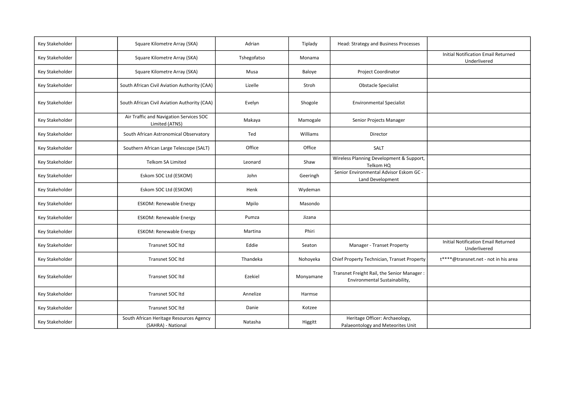| Key Stakeholder | Square Kilometre Array (SKA)                                  | Adrian      | Tiplady   | Head: Strategy and Business Processes                                       |                                                            |
|-----------------|---------------------------------------------------------------|-------------|-----------|-----------------------------------------------------------------------------|------------------------------------------------------------|
| Key Stakeholder | Square Kilometre Array (SKA)                                  | Tshegofatso | Monama    |                                                                             | <b>Initial Notification Email Returned</b><br>Underlivered |
| Key Stakeholder | Square Kilometre Array (SKA)                                  | Musa        | Baloye    | <b>Project Coordinator</b>                                                  |                                                            |
| Key Stakeholder | South African Civil Aviation Authority (CAA)                  | Lizelle     | Stroh     | <b>Obstacle Specialist</b>                                                  |                                                            |
| Key Stakeholder | South African Civil Aviation Authority (CAA)                  | Evelyn      | Shogole   | <b>Environmental Specialist</b>                                             |                                                            |
| Key Stakeholder | Air Traffic and Navigation Services SOC<br>Limited (ATNS)     | Makaya      | Mamogale  | Senior Projects Manager                                                     |                                                            |
| Key Stakeholder | South African Astronomical Observatory                        | Ted         | Williams  | Director                                                                    |                                                            |
| Key Stakeholder | Southern African Large Telescope (SALT)                       | Office      | Office    | SALT                                                                        |                                                            |
| Key Stakeholder | <b>Telkom SA Limited</b>                                      | Leonard     | Shaw      | Wireless Planning Development & Support,<br>Telkom HQ                       |                                                            |
| Key Stakeholder | Eskom SOC Ltd (ESKOM)                                         | John        | Geeringh  | Senior Environmental Advisor Eskom GC -<br>Land Development                 |                                                            |
| Key Stakeholder | Eskom SOC Ltd (ESKOM)                                         | Henk        | Wydeman   |                                                                             |                                                            |
| Key Stakeholder | <b>ESKOM: Renewable Energy</b>                                | Mpilo       | Masondo   |                                                                             |                                                            |
| Key Stakeholder | <b>ESKOM: Renewable Energy</b>                                | Pumza       | Jizana    |                                                                             |                                                            |
| Key Stakeholder | <b>ESKOM: Renewable Energy</b>                                | Martina     | Phiri     |                                                                             |                                                            |
| Key Stakeholder | Transnet SOC Itd                                              | Eddie       | Seaton    | Manager - Transet Property                                                  | <b>Initial Notification Email Returned</b><br>Underlivered |
| Key Stakeholder | Transnet SOC Itd                                              | Thandeka    | Nohoyeka  | Chief Property Technician, Transet Property                                 | t****@transnet.net - not in his area                       |
| Key Stakeholder | Transnet SOC Itd                                              | Ezekiel     | Monyamane | Transnet Freight Rail, the Senior Manager:<br>Environmental Sustainability, |                                                            |
| Key Stakeholder | Transnet SOC Itd                                              | Annelize    | Harmse    |                                                                             |                                                            |
| Key Stakeholder | Transnet SOC Itd                                              | Danie       | Kotzee    |                                                                             |                                                            |
| Key Stakeholder | South African Heritage Resources Agency<br>(SAHRA) - National | Natasha     | Higgitt   | Heritage Officer: Archaeology,<br>Palaeontology and Meteorites Unit         |                                                            |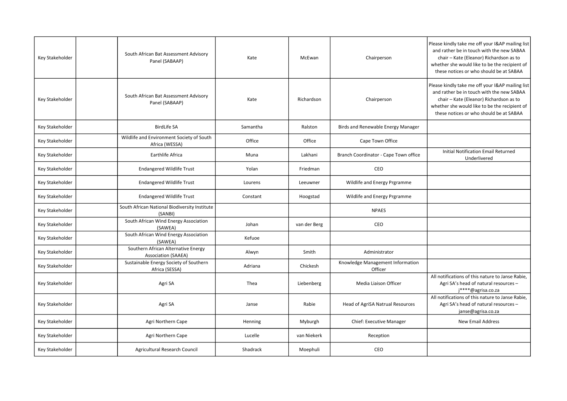| Key Stakeholder | South African Bat Assessment Advisory<br>Panel (SABAAP)           | Kate     | McEwan       | Chairperson                                 | Please kindly take me off your I&AP mailing list<br>and rather be in touch with the new SABAA<br>chair - Kate (Eleanor) Richardson as to<br>whether she would like to be the recipient of<br>these notices or who should be at SABAA |
|-----------------|-------------------------------------------------------------------|----------|--------------|---------------------------------------------|--------------------------------------------------------------------------------------------------------------------------------------------------------------------------------------------------------------------------------------|
| Key Stakeholder | South African Bat Assessment Advisory<br>Panel (SABAAP)           | Kate     | Richardson   | Chairperson                                 | Please kindly take me off your I&AP mailing list<br>and rather be in touch with the new SABAA<br>chair - Kate (Eleanor) Richardson as to<br>whether she would like to be the recipient of<br>these notices or who should be at SABAA |
| Key Stakeholder | <b>BirdLife SA</b>                                                | Samantha | Ralston      | Birds and Renewable Energy Manager          |                                                                                                                                                                                                                                      |
| Key Stakeholder | Wildlife and Environment Society of South<br>Africa (WESSA)       | Office   | Office       | Cape Town Office                            |                                                                                                                                                                                                                                      |
| Key Stakeholder | Earthlife Africa                                                  | Muna     | Lakhani      | Branch Coordinator - Cape Town office       | Initial Notification Email Returned<br>Underlivered                                                                                                                                                                                  |
| Key Stakeholder | <b>Endangered Wildlife Trust</b>                                  | Yolan    | Friedman     | CEO                                         |                                                                                                                                                                                                                                      |
| Key Stakeholder | <b>Endangered Wildlife Trust</b>                                  | Lourens  | Leeuwner     | Wildlife and Energy Prgramme                |                                                                                                                                                                                                                                      |
| Key Stakeholder | <b>Endangered Wildlife Trust</b>                                  | Constant | Hoogstad     | Wildlife and Energy Prgramme                |                                                                                                                                                                                                                                      |
| Key Stakeholder | South African National Biodiversity Institute<br>(SANBI)          |          |              | <b>NPAES</b>                                |                                                                                                                                                                                                                                      |
| Key Stakeholder | South African Wind Energy Association<br>(SAWEA)                  | Johan    | van der Berg | CEO                                         |                                                                                                                                                                                                                                      |
| Key Stakeholder | South African Wind Energy Association<br>(SAWEA)                  | Kefuoe   |              |                                             |                                                                                                                                                                                                                                      |
| Key Stakeholder | Southern African Alternative Energy<br><b>Association (SAAEA)</b> | Alwyn    | Smith        | Administrator                               |                                                                                                                                                                                                                                      |
| Key Stakeholder | Sustainable Energy Society of Southern<br>Africa (SESSA)          | Adriana  | Chickesh     | Knowledge Management Information<br>Officer |                                                                                                                                                                                                                                      |
| Key Stakeholder | Agri SA                                                           | Thea     | Liebenberg   | Media Liaison Officer                       | All notifications of this nature to Janse Rabie,<br>Agri SA's head of natural resources -<br>i****@agrisa.co.za                                                                                                                      |
| Key Stakeholder | Agri SA                                                           | Janse    | Rabie        | Head of AgriSA Natrual Resources            | All notifications of this nature to Janse Rabie,<br>Agri SA's head of natural resources -<br>janse@agrisa.co.za                                                                                                                      |
| Key Stakeholder | Agri Northern Cape                                                | Henning  | Myburgh      | <b>Chief: Executive Manager</b>             | <b>New Email Address</b>                                                                                                                                                                                                             |
| Key Stakeholder | Agri Northern Cape                                                | Lucelle  | van Niekerk  | Reception                                   |                                                                                                                                                                                                                                      |
| Key Stakeholder | Agricultural Research Council                                     | Shadrack | Moephuli     | <b>CEO</b>                                  |                                                                                                                                                                                                                                      |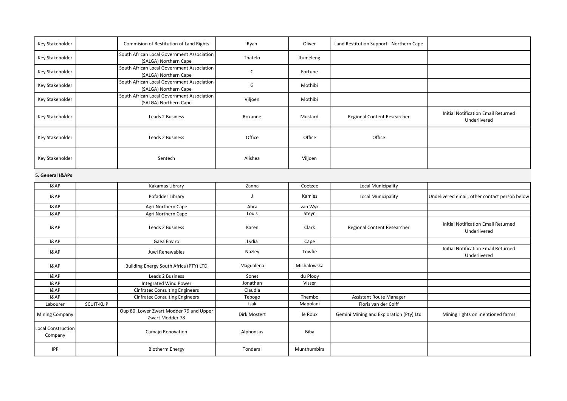| Key Stakeholder | Commision of Restitution of Land Rights                             | Ryan    | Oliver    | Land Restitution Support - Northern Cape |                                                     |
|-----------------|---------------------------------------------------------------------|---------|-----------|------------------------------------------|-----------------------------------------------------|
| Key Stakeholder | South African Local Government Association<br>(SALGA) Northern Cape | Thatelo | Itumeleng |                                          |                                                     |
| Key Stakeholder | South African Local Government Association<br>(SALGA) Northern Cape |         | Fortune   |                                          |                                                     |
| Key Stakeholder | South African Local Government Association<br>(SALGA) Northern Cape | G       | Mothibi   |                                          |                                                     |
| Key Stakeholder | South African Local Government Association<br>(SALGA) Northern Cape | Viljoen | Mothibi   |                                          |                                                     |
| Key Stakeholder | Leads 2 Business                                                    | Roxanne | Mustard   | Regional Content Researcher              | Initial Notification Email Returned<br>Underlivered |
| Key Stakeholder | Leads 2 Business                                                    | Office  | Office    | Office                                   |                                                     |
| Key Stakeholder | Sentech                                                             | Alishea | Viljoen   |                                          |                                                     |

## 5. General I&APs

| <b>I&amp;AP</b>               |            | Kakamas Library                                            | Zanna        | Coetzee     | Local Municipality                      |                                                            |
|-------------------------------|------------|------------------------------------------------------------|--------------|-------------|-----------------------------------------|------------------------------------------------------------|
| 18AP                          |            | Pofadder Library                                           |              | Kamies      | Local Municipality                      | Undelivered email, other contact person below              |
| 18AP                          |            | Agri Northern Cape                                         | Abra         | van Wyk     |                                         |                                                            |
| I&AP                          |            | Agri Northern Cape                                         | Louis        | Steyn       |                                         |                                                            |
| I&AP                          |            | Leads 2 Business                                           | Karen        | Clark       | Regional Content Researcher             | <b>Initial Notification Email Returned</b><br>Underlivered |
| 18AP                          |            | Gaea Enviro                                                | Lydia        | Cape        |                                         |                                                            |
| <b>I&amp;AP</b>               |            | Juwi Renewables                                            | Nazley       | Towfie      |                                         | <b>Initial Notification Email Returned</b><br>Underlivered |
| 18AP                          |            | Building Energy South Africa (PTY) LTD                     | Magdalena    | Michalowska |                                         |                                                            |
| <b>I&amp;AP</b>               |            | Leads 2 Business                                           | Sonet        | du Plooy    |                                         |                                                            |
| <b>I&amp;AP</b>               |            | Integrated Wind Power                                      | Jonathan     | Visser      |                                         |                                                            |
| I&AP                          |            | <b>Cinfratec Consulting Engineers</b>                      | Claudia      |             |                                         |                                                            |
| I&AP                          |            | <b>Cinfratec Consulting Engineers</b>                      | Tebogo       | Thembo      | <b>Assistant Route Manager</b>          |                                                            |
| Labourer                      | SCUIT-KLIP |                                                            | Isak         | Mapolani    | Floris van der Colff                    |                                                            |
| Mining Company                |            | Oup 80, Lower Zwart Modder 79 and Upper<br>Zwart Modder 78 | Dirk Mostert | le Roux     | Gemini Mining and Exploration (Pty) Ltd | Mining rights on mentioned farms                           |
| Local Construction<br>Company |            | Camajo Renovation                                          | Alphonsus    | <b>Biba</b> |                                         |                                                            |
| <b>IPP</b>                    |            | Biotherm Energy                                            | Tonderai     | Munthumbira |                                         |                                                            |